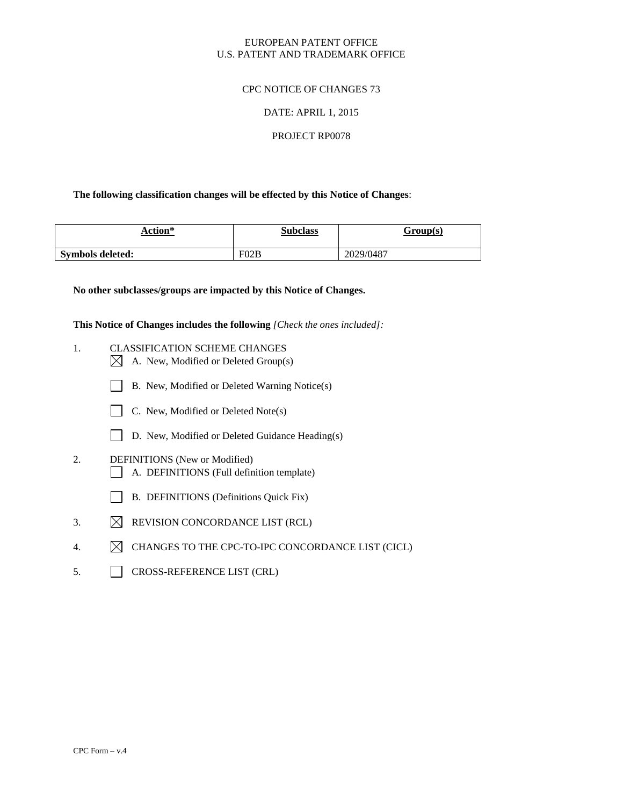# EUROPEAN PATENT OFFICE U.S. PATENT AND TRADEMARK OFFICE

# CPC NOTICE OF CHANGES 73

## DATE: APRIL 1, 2015

## PROJECT RP0078

## **The following classification changes will be effected by this Notice of Changes**:

| Action*          | <b>Subclass</b> | Group(s)  |
|------------------|-----------------|-----------|
| Symbols deleted: | F02B            | 2029/0487 |

**No other subclasses/groups are impacted by this Notice of Changes.**

**This Notice of Changes includes the following** *[Check the ones included]:*

- 1. CLASSIFICATION SCHEME CHANGES  $\boxtimes$  A. New, Modified or Deleted Group(s)
	- B. New, Modified or Deleted Warning Notice(s)



- D. New, Modified or Deleted Guidance Heading(s)
- 2. DEFINITIONS (New or Modified) A. DEFINITIONS (Full definition template)
	- B. DEFINITIONS (Definitions Quick Fix)
- 3.  $\boxtimes$  REVISION CONCORDANCE LIST (RCL)
- 4.  $\boxtimes$  CHANGES TO THE CPC-TO-IPC CONCORDANCE LIST (CICL)
- 5. CROSS-REFERENCE LIST (CRL)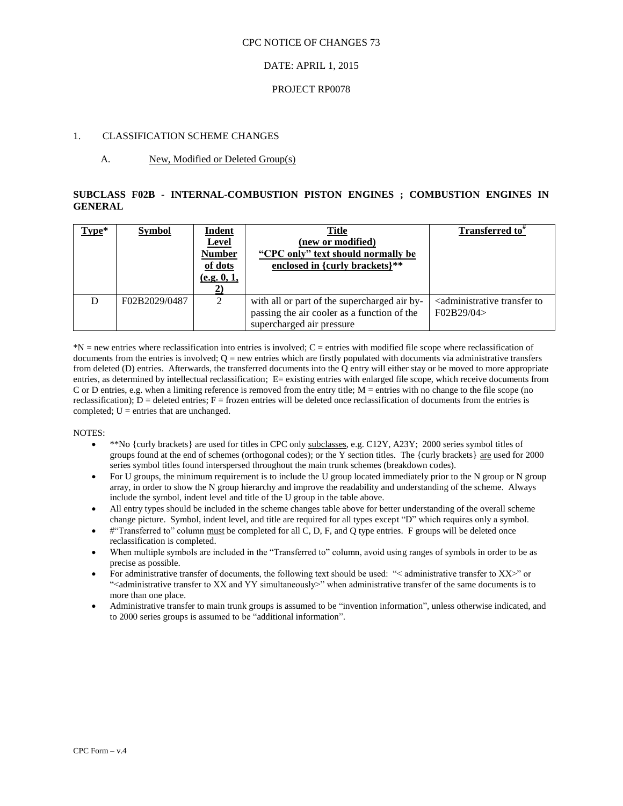### CPC NOTICE OF CHANGES 73

# DATE: APRIL 1, 2015

## PROJECT RP0078

# 1. CLASSIFICATION SCHEME CHANGES

## A. New, Modified or Deleted Group(s)

# **SUBCLASS F02B - INTERNAL-COMBUSTION PISTON ENGINES ; COMBUSTION ENGINES IN GENERAL**

| Type* | <b>Symbol</b> | <b>Indent</b><br><b>Level</b><br><b>Number</b><br>of dots<br>(e.g. 0, 1, | <b>Title</b><br>(new or modified)<br>"CPC only" text should normally be<br>enclosed in {curly brackets}**                | Transferred to"                                                     |
|-------|---------------|--------------------------------------------------------------------------|--------------------------------------------------------------------------------------------------------------------------|---------------------------------------------------------------------|
|       | F02B2029/0487 | $\mathfrak{D}$                                                           | with all or part of the supercharged air by-<br>passing the air cooler as a function of the<br>supercharged air pressure | <administrative to<br="" transfer="">F02B29/04&gt;</administrative> |

\*N = new entries where reclassification into entries is involved; C = entries with modified file scope where reclassification of documents from the entries is involved;  $Q = new$  entries which are firstly populated with documents via administrative transfers from deleted (D) entries. Afterwards, the transferred documents into the Q entry will either stay or be moved to more appropriate entries, as determined by intellectual reclassification; E= existing entries with enlarged file scope, which receive documents from C or D entries, e.g. when a limiting reference is removed from the entry title;  $M =$  entries with no change to the file scope (no reclassification);  $D =$  deleted entries;  $F =$  frozen entries will be deleted once reclassification of documents from the entries is completed;  $U =$  entries that are unchanged.

#### NOTES:

- \*\*No {curly brackets} are used for titles in CPC only subclasses, e.g. C12Y, A23Y; 2000 series symbol titles of groups found at the end of schemes (orthogonal codes); or the Y section titles. The {curly brackets} are used for 2000 series symbol titles found interspersed throughout the main trunk schemes (breakdown codes).
- For U groups, the minimum requirement is to include the U group located immediately prior to the N group or N group array, in order to show the N group hierarchy and improve the readability and understanding of the scheme. Always include the symbol, indent level and title of the U group in the table above.
- All entry types should be included in the scheme changes table above for better understanding of the overall scheme change picture. Symbol, indent level, and title are required for all types except "D" which requires only a symbol.
- #"Transferred to" column must be completed for all C, D, F, and Q type entries. F groups will be deleted once reclassification is completed.
- When multiple symbols are included in the "Transferred to" column, avoid using ranges of symbols in order to be as precise as possible.
- For administrative transfer of documents, the following text should be used: "< administrative transfer to XX>" or "<administrative transfer to XX and YY simultaneously>" when administrative transfer of the same documents is to more than one place.
- Administrative transfer to main trunk groups is assumed to be "invention information", unless otherwise indicated, and to 2000 series groups is assumed to be "additional information".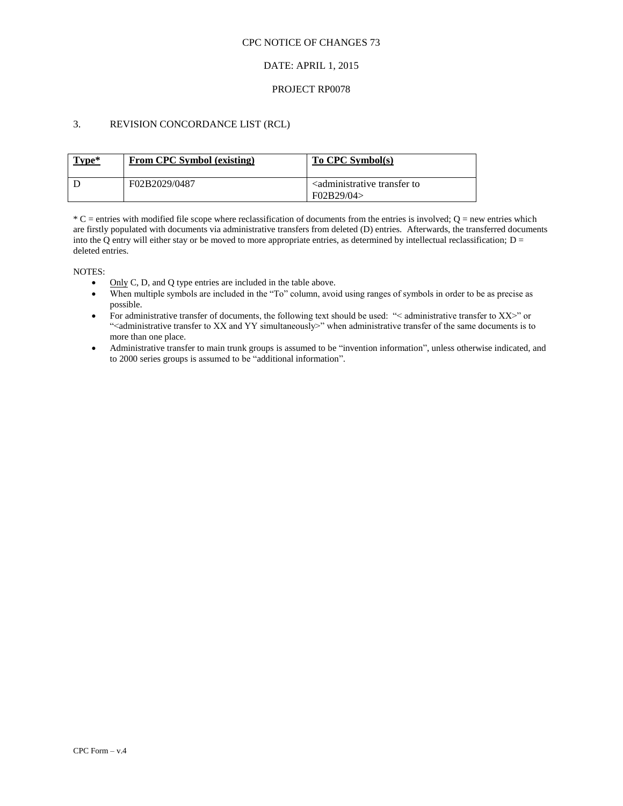## CPC NOTICE OF CHANGES 73

# DATE: APRIL 1, 2015

## PROJECT RP0078

# 3. REVISION CONCORDANCE LIST (RCL)

| Type* | <b>From CPC Symbol (existing)</b> | To CPC Symbol(s)                                                |
|-------|-----------------------------------|-----------------------------------------------------------------|
|       | F02B2029/0487                     | <administrative to<br="" transfer="">F02B29/04</administrative> |

 $*C$  = entries with modified file scope where reclassification of documents from the entries is involved;  $Q$  = new entries which are firstly populated with documents via administrative transfers from deleted (D) entries. Afterwards, the transferred documents into the Q entry will either stay or be moved to more appropriate entries, as determined by intellectual reclassification;  $D =$ deleted entries.

NOTES:

- $\bullet$  Only C, D, and Q type entries are included in the table above.
- When multiple symbols are included in the "To" column, avoid using ranges of symbols in order to be as precise as possible.
- For administrative transfer of documents, the following text should be used: "< administrative transfer to XX>" or ">
"<administrative transfer to XX and YY simultaneously>" when administrative transfer of the same documents is to more than one place.
- Administrative transfer to main trunk groups is assumed to be "invention information", unless otherwise indicated, and to 2000 series groups is assumed to be "additional information".